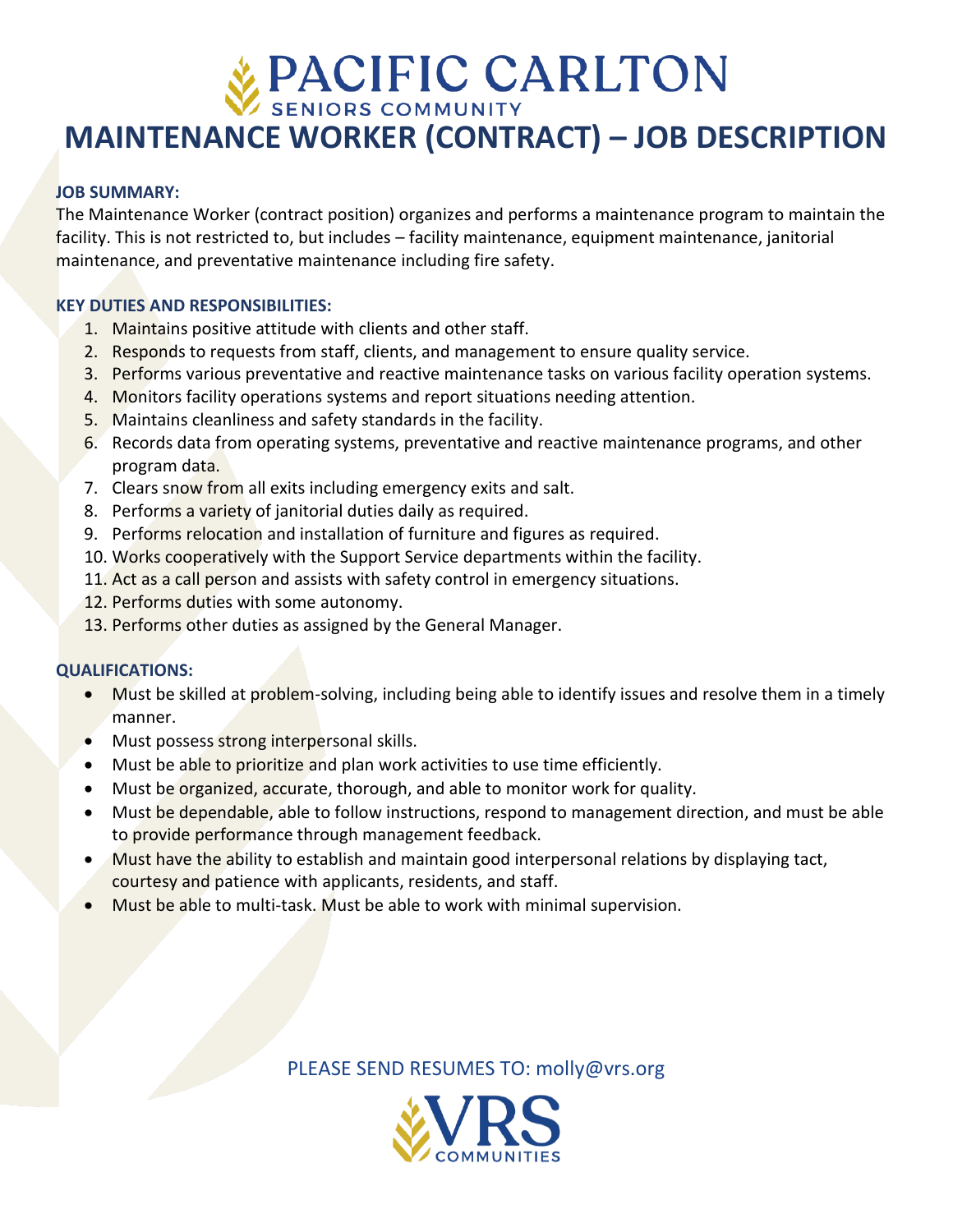# **WE DACIFIC CARLTON**<br>MAINTENANCE WORKER (CONTRACT) – JOB DESCRIPTION

## **JOB SUMMARY:**

The Maintenance Worker (contract position) organizes and performs a maintenance program to maintain the facility. This is not restricted to, but includes – facility maintenance, equipment maintenance, janitorial maintenance, and preventative maintenance including fire safety.

## **KEY DUTIES AND RESPONSIBILITIES:**

- 1. Maintains positive attitude with clients and other staff.
- 2. Responds to requests from staff, clients, and management to ensure quality service.
- 3. Performs various preventative and reactive maintenance tasks on various facility operation systems.
- 4. Monitors facility operations systems and report situations needing attention.
- 5. Maintains cleanliness and safety standards in the facility.
- 6. Records data from operating systems, preventative and reactive maintenance programs, and other program data.
- 7. Clears snow from all exits including emergency exits and salt.
- 8. Performs a variety of janitorial duties daily as required.
- 9. Performs relocation and installation of furniture and figures as required.
- 10. Works cooperatively with the Support Service departments within the facility.
- 11. Act as a call person and assists with safety control in emergency situations.
- 12. Performs duties with some autonomy.
- 13. Performs other duties as assigned by the General Manager.

## **QUALIFICATIONS:**

- Must be skilled at problem-solving, including being able to identify issues and resolve them in a timely manner.
- Must possess strong interpersonal skills.
- Must be able to prioritize and plan work activities to use time efficiently.
- Must be organized, accurate, thorough, and able to monitor work for quality.
- Must be dependable, able to follow instructions, respond to management direction, and must be able to provide performance through management feedback.
- Must have the ability to establish and maintain good interpersonal relations by displaying tact, courtesy and patience with applicants, residents, and staff.
- Must be able to multi-task. Must be able to work with minimal supervision.

PLEASE SEND RESUMES TO: molly@vrs.org